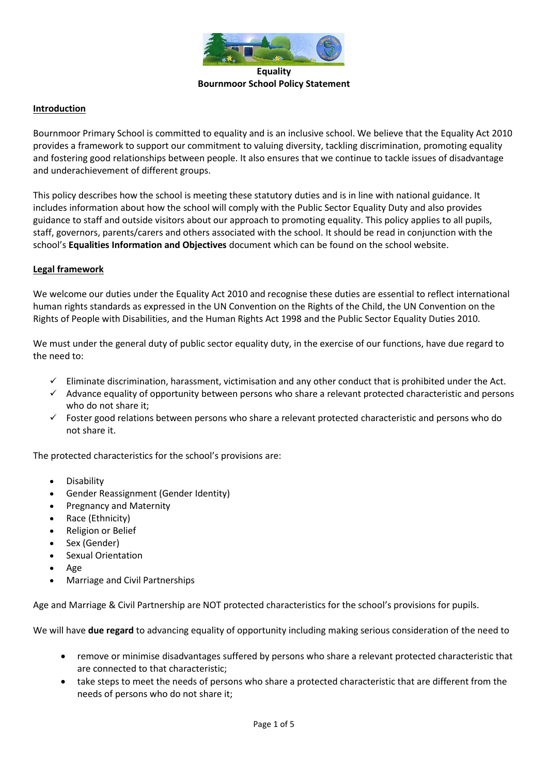

#### **Introduction**

Bournmoor Primary School is committed to equality and is an inclusive school. We believe that the Equality Act 2010 provides a framework to support our commitment to valuing diversity, tackling discrimination, promoting equality and fostering good relationships between people. It also ensures that we continue to tackle issues of disadvantage and underachievement of different groups.

This policy describes how the school is meeting these statutory duties and is in line with national guidance. It includes information about how the school will comply with the Public Sector Equality Duty and also provides guidance to staff and outside visitors about our approach to promoting equality. This policy applies to all pupils, staff, governors, parents/carers and others associated with the school. It should be read in conjunction with the school's **Equalities Information and Objectives** document which can be found on the school website.

#### **Legal framework**

We welcome our duties under the Equality Act 2010 and recognise these duties are essential to reflect international human rights standards as expressed in the UN Convention on the Rights of the Child, the UN Convention on the Rights of People with Disabilities, and the Human Rights Act 1998 and the Public Sector Equality Duties 2010.

We must under the general duty of public sector equality duty, in the exercise of our functions, have due regard to the need to:

- $\checkmark$  Eliminate discrimination, harassment, victimisation and any other conduct that is prohibited under the Act.
- $\checkmark$  Advance equality of opportunity between persons who share a relevant protected characteristic and persons who do not share it;
- $\checkmark$  Foster good relations between persons who share a relevant protected characteristic and persons who do not share it.

The protected characteristics for the school's provisions are:

- Disability
- Gender Reassignment (Gender Identity)
- Pregnancy and Maternity
- Race (Ethnicity)
- Religion or Belief
- Sex (Gender)
- Sexual Orientation
- Age
- Marriage and Civil Partnerships

Age and Marriage & Civil Partnership are NOT protected characteristics for the school's provisions for pupils.

We will have **due regard** to advancing equality of opportunity including making serious consideration of the need to

- remove or minimise disadvantages suffered by persons who share a relevant protected characteristic that are connected to that characteristic;
- take steps to meet the needs of persons who share a protected characteristic that are different from the needs of persons who do not share it;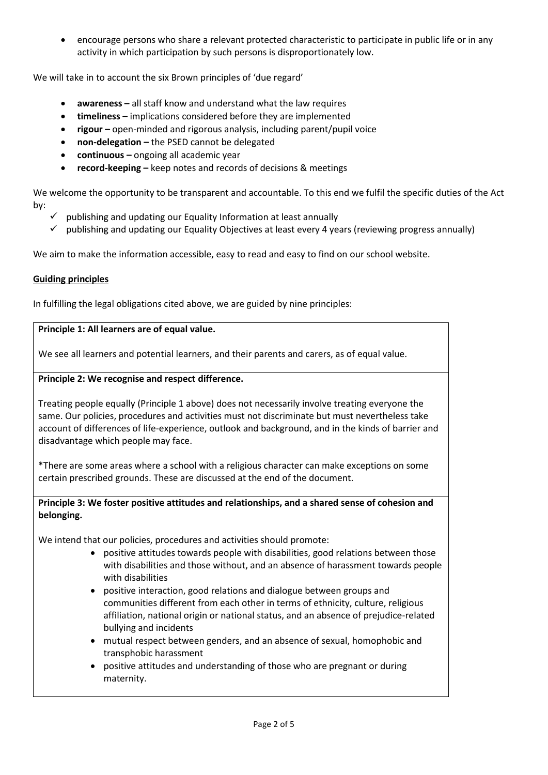• encourage persons who share a relevant protected characteristic to participate in public life or in any activity in which participation by such persons is disproportionately low.

We will take in to account the six Brown principles of 'due regard'

- **awareness –** all staff know and understand what the law requires
- **timeliness**  implications considered before they are implemented
- **rigour** open-minded and rigorous analysis, including parent/pupil voice
- **non-delegation –** the PSED cannot be delegated
- **continuous –** ongoing all academic year
- **record-keeping –** keep notes and records of decisions & meetings

We welcome the opportunity to be transparent and accountable. To this end we fulfil the specific duties of the Act by:

- publishing and updating our Equality Information at least annually
- $\checkmark$  publishing and updating our Equality Objectives at least every 4 years (reviewing progress annually)

We aim to make the information accessible, easy to read and easy to find on our school website.

# **Guiding principles**

In fulfilling the legal obligations cited above, we are guided by nine principles:

### **Principle 1: All learners are of equal value.**

We see all learners and potential learners, and their parents and carers, as of equal value.

### **Principle 2: We recognise and respect difference.**

Treating people equally (Principle 1 above) does not necessarily involve treating everyone the same. Our policies, procedures and activities must not discriminate but must nevertheless take account of differences of life-experience, outlook and background, and in the kinds of barrier and disadvantage which people may face.

\*There are some areas where a school with a religious character can make exceptions on some certain prescribed grounds. These are discussed at the end of the document.

**Principle 3: We foster positive attitudes and relationships, and a shared sense of cohesion and belonging.**

We intend that our policies, procedures and activities should promote:

- positive attitudes towards people with disabilities, good relations between those with disabilities and those without, and an absence of harassment towards people with disabilities
- positive interaction, good relations and dialogue between groups and communities different from each other in terms of ethnicity, culture, religious affiliation, national origin or national status, and an absence of prejudice-related bullying and incidents
- mutual respect between genders, and an absence of sexual, homophobic and transphobic harassment
- positive attitudes and understanding of those who are pregnant or during maternity.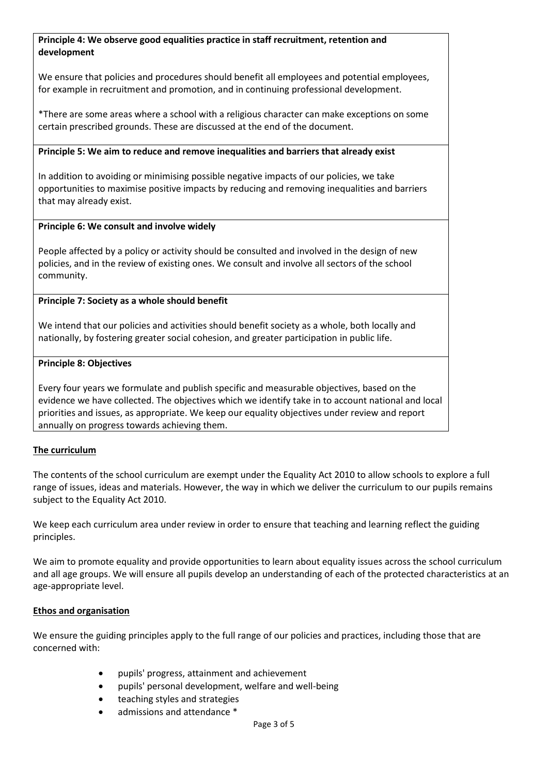### **Principle 4: We observe good equalities practice in staff recruitment, retention and development**

We ensure that policies and procedures should benefit all employees and potential employees. for example in recruitment and promotion, and in continuing professional development.

\*There are some areas where a school with a religious character can make exceptions on some certain prescribed grounds. These are discussed at the end of the document.

### **Principle 5: We aim to reduce and remove inequalities and barriers that already exist**

In addition to avoiding or minimising possible negative impacts of our policies, we take opportunities to maximise positive impacts by reducing and removing inequalities and barriers that may already exist.

### **Principle 6: We consult and involve widely**

People affected by a policy or activity should be consulted and involved in the design of new policies, and in the review of existing ones. We consult and involve all sectors of the school community.

# **Principle 7: Society as a whole should benefit**

We intend that our policies and activities should benefit society as a whole, both locally and nationally, by fostering greater social cohesion, and greater participation in public life.

# **Principle 8: Objectives**

Every four years we formulate and publish specific and measurable objectives, based on the evidence we have collected. The objectives which we identify take in to account national and local priorities and issues, as appropriate. We keep our equality objectives under review and report annually on progress towards achieving them.

# **The curriculum**

The contents of the school curriculum are exempt under the Equality Act 2010 to allow schools to explore a full range of issues, ideas and materials. However, the way in which we deliver the curriculum to our pupils remains subject to the Equality Act 2010.

We keep each curriculum area under review in order to ensure that teaching and learning reflect the guiding principles.

We aim to promote equality and provide opportunities to learn about equality issues across the school curriculum and all age groups. We will ensure all pupils develop an understanding of each of the protected characteristics at an age-appropriate level.

# **Ethos and organisation**

We ensure the guiding principles apply to the full range of our policies and practices, including those that are concerned with:

- pupils' progress, attainment and achievement
- pupils' personal development, welfare and well-being
- teaching styles and strategies
- admissions and attendance \*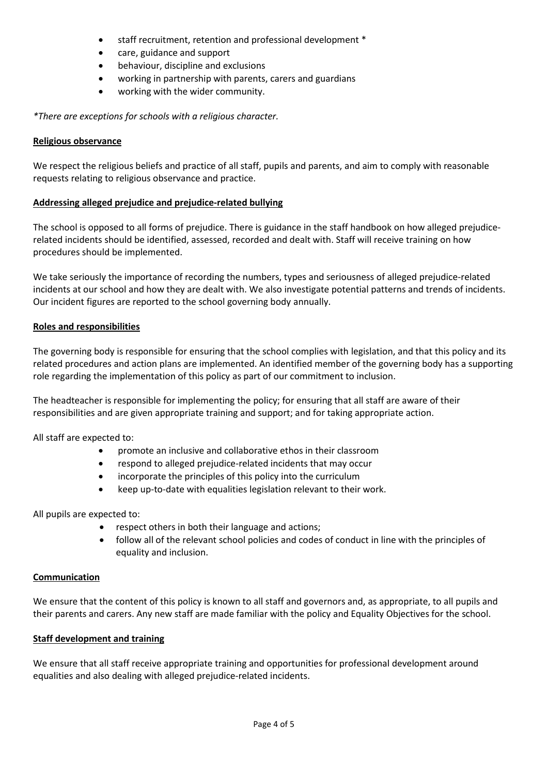- staff recruitment, retention and professional development \*
- care, guidance and support
- behaviour, discipline and exclusions
- working in partnership with parents, carers and guardians
- working with the wider community.

*\*There are exceptions for schools with a religious character.*

#### **Religious observance**

We respect the religious beliefs and practice of all staff, pupils and parents, and aim to comply with reasonable requests relating to religious observance and practice.

### **Addressing alleged prejudice and prejudice-related bullying**

The school is opposed to all forms of prejudice. There is guidance in the staff handbook on how alleged prejudicerelated incidents should be identified, assessed, recorded and dealt with. Staff will receive training on how procedures should be implemented.

We take seriously the importance of recording the numbers, types and seriousness of alleged prejudice-related incidents at our school and how they are dealt with. We also investigate potential patterns and trends of incidents. Our incident figures are reported to the school governing body annually.

### **Roles and responsibilities**

The governing body is responsible for ensuring that the school complies with legislation, and that this policy and its related procedures and action plans are implemented. An identified member of the governing body has a supporting role regarding the implementation of this policy as part of our commitment to inclusion.

The headteacher is responsible for implementing the policy; for ensuring that all staff are aware of their responsibilities and are given appropriate training and support; and for taking appropriate action.

All staff are expected to:

- promote an inclusive and collaborative ethos in their classroom
- respond to alleged prejudice-related incidents that may occur
- incorporate the principles of this policy into the curriculum
- keep up-to-date with equalities legislation relevant to their work.

All pupils are expected to:

- respect others in both their language and actions;
- follow all of the relevant school policies and codes of conduct in line with the principles of equality and inclusion.

#### **Communication**

We ensure that the content of this policy is known to all staff and governors and, as appropriate, to all pupils and their parents and carers. Any new staff are made familiar with the policy and Equality Objectives for the school.

# **Staff development and training**

We ensure that all staff receive appropriate training and opportunities for professional development around equalities and also dealing with alleged prejudice-related incidents.